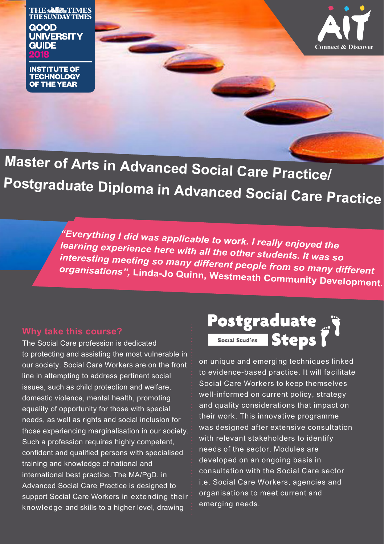**THE & SALES** TIMES **THE SUNDAY TIMES** GOOD **UNIVERSITY GUIDE** 

**INSTITUTE OF TECHNOLOGY OF THE YEAR** 



**Master of Arts in Advanced Social Care Practice/ Postgraduate Diploma in Advanced Social Care Practice**

"Everything I did was applicable to work. I really enjoyed the<br>learning experience here with all the other students. It was so<br>interesting meeting so many different people from so many different<br>organisations", Linda-Jo Qu

The Social Care profession is dedicated to protecting and assisting the most vulnerable in our society. Social Care Workers are on the front line in attempting to address pertinent social issues, such as child protection and welfare, domestic violence, mental health, promoting equality of opportunity for those with special needs, as well as rights and social inclusion for those experiencing marginalisation in our society. Such a profession requires highly competent, confident and qualified persons with specialised training and knowledge of national and international best practice. The MA/PgD. in Advanced Social Care Practice is designed to support Social Care Workers in extending their knowledge and skills to a higher level, drawing

on unique and emerging techniques linked to evidence-based practice. It will facilitate Social Care Workers to keep themselves well-informed on current policy, strategy and quality considerations that impact on their work. This innovative programme was designed after extensive consultation with relevant stakeholders to identify needs of the sector. Modules are developed on an ongoing basis in consultation with the Social Care sector i.e. Social Care Workers, agencies and organisations to meet current and emerging needs.